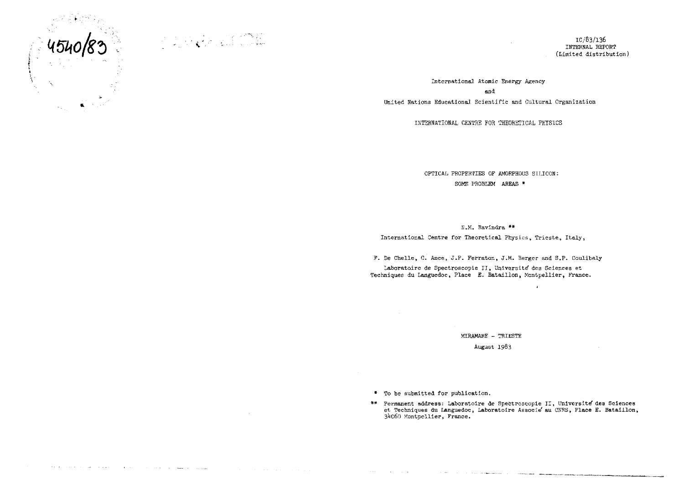

service construction and construc-

**College** 

the company of the company of the

**Contract Contract** 

1C/&3/136 INTERNAL REPORT (Limited distribution)

International Atomic Energy Agency and United nations Educational Scientific and Cultural Organization

IHTEMATIOHAL CENTRE FOR THEORETICAL PHYSICS

OPTICAL PROPERTIES OF AMORPHOUS SILICON: SOME PROBLEM AREAS \*

H.M. Ravindra \*\*

International Centre for Theoretical Physics, Trieste, Italy,

F. De Chelle, C. Ance, J.P. Ferraton, J.M. Berger and S.P. Coulibaly

Laboratoire de Spectroscopie II, Universite' dea Sciences et Techniques du Languedoc, Place E, Eataillon, Montpellier, France.

MIRAMARE - TRIESTE

 $\mathbf{r}$ 

August I983

\* To be submitted for publication.

\*\* Permanent address: Laboratoire de Spectroscopie II, Universite' des Sciences et Techniques du languedoc, Laboratoire Associe' au CNBS, Place E. Bataillon, 34060 Montpellier, France.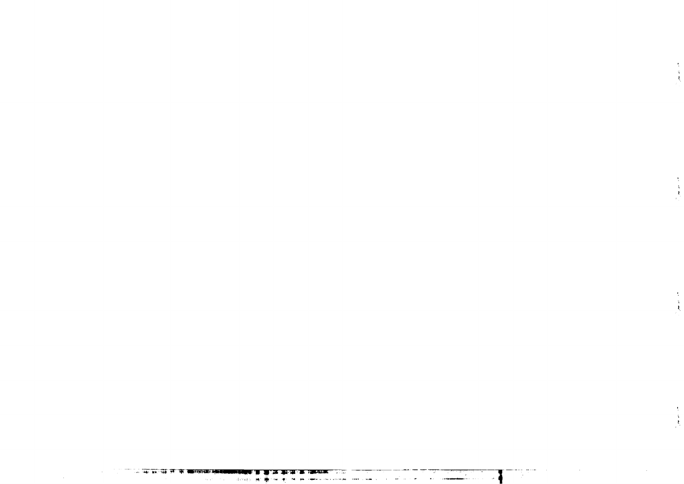ting the

 $\sim$ 

 $\mathbf{r}_\mathrm{c}$  $\mathcal{H}$  $\mathcal{X}$ 

 $\Lambda_{\rm c}$  $\frac{4}{3}$ 

> $\mathcal{L}_{\mathcal{L}}$  $\sim 3-1$  $\chi$

 $\Lambda$  $\frac{3}{4}$ 

 $\sim 10^{-1}$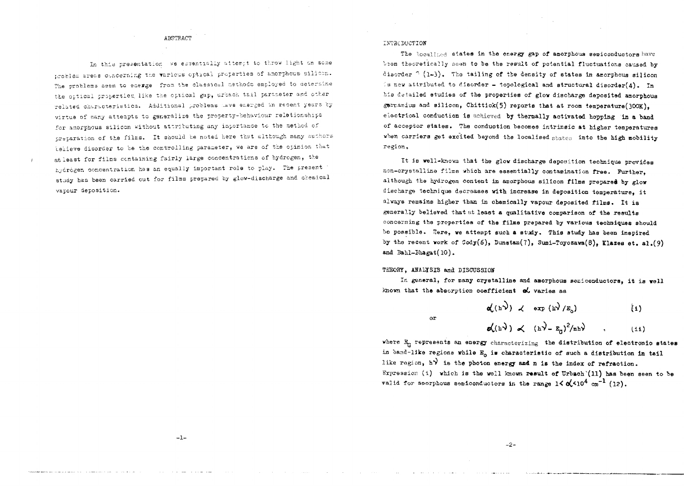In this presentation we essentially attempt to throw light on some problem areas concerning the various optical proterties of amorphous silicon. The problems seem to energe from the classical methods employed to determine the optical properties like the optical gap, urbach tail parameter and other related characteristics. Additional problems have emerged in recent years by virtue of many attempts to generalize the property-behaviour relationships for amorphous silicon without attributing any importance to the method of preparation of the films. It should be noted here that although many authors telieve disorder to be the controlling parameter, we are of the opinion that atleast for films containing fairly large concentrations of hydrogen, the hydrogen concentration has an equally important role to play. The present study has been carried out for films prepared by glow-discharge and chemical varour deposition.

# **INTRODUCTION**

The localized states in the energy gap of amorphous semiconductors have been theoretically seen to be the result of potential fluctuations caused by disorder  $\bigcap$   $(1-3)$ . The tailing of the density of states in amorphous silicom is new attributed to disorder - topological and structural disorder(A). In bis detailed studies of the properties of glow discharge deposited amorphous Retranium and silicon. Chittick(5) reports that at room temperature(300K). electrical conduction is achieved by thermally activated hopping in a band of acceptor states. The conduction becomes intrinsic at higher temperatures when carriers get excited beyond the localised states into the high mobility region.

It is well-known that the glow discharge deposition technique provides non-crystalline films which are essentially contamination free. Further. although the hydrogen content in amorphous silicon films prepared by glow discharge technique decreases with increase in deposition temperature, it always remains higher than in chemically vapour deposited films. It is generally believed that at least a qualitative comparison of the results concerning the properties of the films prepared by various techniques should be possible. Here, we attempt such a study. This study has been inspired by the recent work of  $Cody(6)$ , Dunstan(7). Sumi-Toyozawa(8). Klazes et. al.(9) and Bahl-Bhagat(10).

## THEORY. ANALYSIS and DISCUSSION

or

In general, for many crystalline and amorphous semiconductors, it is well known that the absorption coefficient e. varies as

$$
\alpha(\Delta^{2}) \prec \exp(\Delta^{2}/E_{0})
$$
 (1)  

$$
\alpha(\Delta^{2}) \prec (\Delta^{2}-E_{0})^{2}/\Delta^{2}
$$
 (11)

where  $\mathbb{E}_0$  represents an energy characterizing the distribution of electronic states in band-like regions while  $E_0$  is characteristic of such a distribution in tail like region,  $h\overrightarrow{v}$  is the photon energy and n is the index of refraction. Expression (i) which is the well known result of Urbach (11) has been seen to be valid for secrphous semiconductors in the range  $1 < \alpha \left( \times 10^4 \text{ cm}^{-1} \right)$  (12).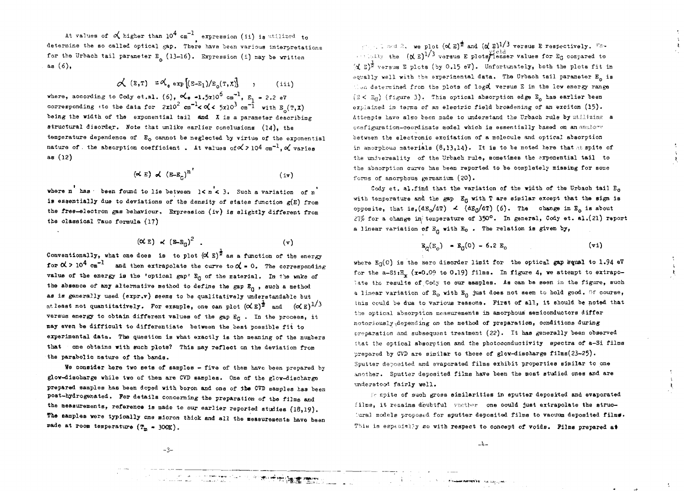At values of  $\alpha'$  higher than 10<sup>4</sup> cm<sup>-1</sup> expression (ii) is utilized to determine the so called optical gap. There have been various interpretations for the Urbach tail parameter  $E^{\sim}$  (13-16). Expression (i) may be written as (6),

$$
\mathcal{A}(\mathbf{E},\mathbf{T}) = \mathcal{A}_{\mathbf{e}} \exp\left[(\mathbf{E}-\mathbf{E}_1)/\mathbf{E}_{\mathbf{e}}(\mathbf{T},\mathbf{X})\right] \quad , \tag{111}
$$

where, according to Cody et.al. (6),  $\alpha'$ <sub>0</sub> -1.5x10<sup>6</sup> cm<sup>-1</sup>, E<sub>1</sub> = 2.2 eV corresponding tto the data for  $2x10^2$   $cm^{-1}$  <  $\alpha$  <  $5x10^3$   $cm^{-1}$  with  $B_1(T,X)$ being the width of the exponential tail and  $X$  is a parameter describing structural disorder. Note that unlike earlier conclusions (14), the temperature dependence of  $E_0$  cannot be neglected by virtue of the exponential nature of the absorption coefficient . At values of  $\propto$   $>$  10<sup>4</sup> cm<sup>-1</sup>.  $\propto$  varies  $a_{B}$  (12)

$$
(\propto E) \propto (E-E_{\rm G})^{n}
$$
 (iv)

**vhere n** has been found to lie between  $1 < n < 3$ . Such a variation of n is essentially due to deviations of the density of states function  $g(E)$  from the free-electron gas behaviour. Expression (iv) is slightly different from **the classical Tauc formula (17)**

$$
(\alpha \mathbf{E}) \times (\mathbf{E} \mathbf{E}_0)^2 \quad . \tag{7}
$$

Conventionally, what one does is to plot  $(\alpha \ s)^{\frac{1}{2}}$  as a function of the energy for  $\alpha > 10^4$  cm<sup>-1</sup> and then extrapolate the curve to  $\alpha$  = 0. The corresponding value of the energy is the 'optical gap'  $\mathbb{E}_G$  of the material. In the wake of the absence of any alternative method to define the gap  $E_Q$ , such a method as is generally used (expr.v) seems to be qualitatively understandable but atleast not quantitatively. For example, one can plot  $(\propto {\rm E})^{\frac{1}{2}}$  and  $(\propto {\rm E})^{1/3}$ versus energy to obtain different values of the gap  $E_G$ . In the process, it may even be difficult to differentiate between the beat possible fit to experimental data. The question is what exactly is the aeaning of the numbers that one obtains with such plots? Thia may refleot on the deviation from the parabolic nature of the bands.

We consider here two sets of samples - five of them have been prepared by glow-discharge while two of them are CTO samples. One of the glov-discharge prepared samples has been doped with boron and one of *jhe* CVD samples has been poet-hydrogehated. For deteile concerning the preparation of tbe films and the measurements, reference is made to our earlier reported studies (18,19). The samples were typically one micron thick and all the measurements have been made at room temperature  $(T_m - 300K)$ .

:  $\cdots$  1 and 2, we plot  $(\alpha \in \mathbb{R})^{\frac{1}{2}}$  and  $(\alpha \in \mathbb{R})^{1/3}$  versus E respectively. We- $\cdots$  : silly the  $(XE)^{1/3}$  varsus E plots/lesser values for Eq compared to  $(d \, \epsilon)^{\frac{1}{2}}$  versus  $\Xi$  plots (by 0.15 eV). Unfortunately, both the plots fit in equally well with the experimental data. The Urbach tail parameter E<sub>n</sub> is When determined from the plots of logo versus E in the low energy range  $(3 < E_G)$  (figure 3). This optical absorption edge  $E_G$  has earlier been explained in terms of an electric field broadening of an exciton  $(15)$ . Attempts have also been made to understand the Urbach rule by utilizing a configuration-coordinate model which is essentially based on an analogy between the electronic excitation of a molecule and optical absorption in amorphous materials  $(8,13,14)$ . It is to be noted here that at spite of the universality of the Urbach rule, sometimes the exponential tail to the absorption curve has been reported to be completely missing for some forms of amorphous germanium  $(20)$ .

Cody et. al.find that the variation of the width of the Urbach tail  $E<sub>0</sub>$ with temperature and the gap  $E_G$  with T are similar except that the sign is opposite, that is,  $(dE_0/dT) \leq (dE_0/dT)$  (6). The change in  $E_0$  is about 27% for a change in temperature of 350°. In general, Cody et. al.(21) report a linear variation of  $\Sigma_c$  with  $E_0$ . The relation is given by,

$$
E_{\mathcal{G}}(E_o) = E_{\mathcal{G}}(0) - 6.2 E_o \qquad (\forall i)
$$

where  $E_C(0)$  is the zero disorder limit for the optical gap equal to 1.94 eV for the a-SitH<sub>e</sub> (x=0.09 to 0.19) films. In figure 4, we attempt to extrapolate the results of Cody to our samples. As can be seen in the figure, such  $4$  linear variation of  $E_0$  with  $E_G$  just does not seem to hold good. Of course, this could be due to various reasons. First of all, it should be noted that the optical absorption measurements in amorphous semiconductors differ notoriously depending on the method of preparation, conditions during preparation and subsequent treatment (22). It has generally been observed itat the optical absorption and the photoconductivity spectra of a—Si films prepared by CVD are similar to those of glow-discharge films(23-25). Sputter deposited and evaporated films exhibit properties similar to one another. Sputter deposited films have been the most studied ones and are understood fairly well.

 $\Gamma$  apite of such gross similarities in sputter deposited and evaporated films, it remains doubtful vbether one could just extrapolate the structural models proposed for sputter deposited films to vaouua deposited film\*. This is especially so with respect to concept of voids. Films prepared at

**- 3-**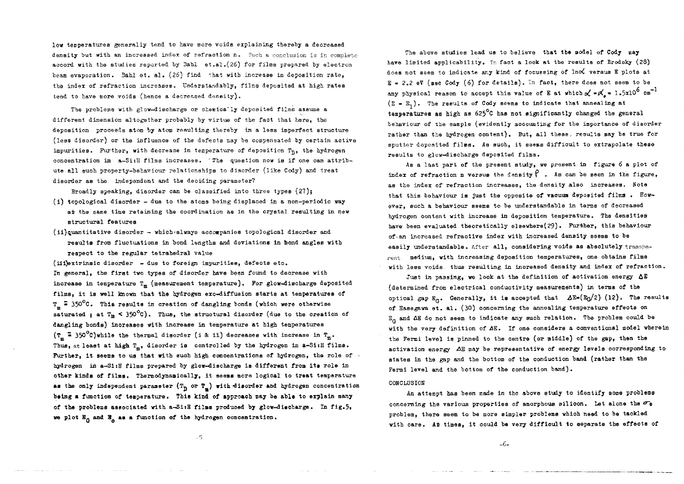low temperatures generally tend to have more voids explaining thereby a decreased density but with an increased index of refraction n. Such a conclusion is in complete accord with the studies reported by 3ahl et,al.(26) for films prepared by electron beam evaporation. Bahl et. al.  $(26)$  find that with increase in deposition rate. the index of refraction increases. Understandably, films deposited at high rates tend to have more voids (hence a decreased density).

The problems with glow-discharge or chemically deposited films assume a different dimension altogether probably by virtue of the fact that here, the deposition proceeds atom by atom resulting thereby in a less imperfect structure (less disorder) or the influence of the defects may be compensated by certain active impurities. Further, with decrease in temperature of deposition  $T_{D_0}$ , the hydrogen concentration in a-Si:H films increases. 'The question now is if one can attribute all such property-behaviour relationships to disorder (like Cody) and treat disorder as the independent and the deciding parameter?

Broadly speaking, disorder can be classified into three types (27);

- (i) topological disorder  $-$  due to the atoms being displaced in a non-periodic way at the same time retaining the coordination as in the crystal resulting in new structural features
- (ii)quantitative disorder  $-$  which slways accompanies topological disorder and results from fluctuations in bond lengths and deviations in bond angles with respect to the regular tetrahedral value

(iii)extrinsic disorder — due to foreign impurities, defects etc. In general, the first two types of disorder have been found to decrease with increase in temperature  $T_m$  (measurement temperature). For glow-discharge deposited films, it is well known that the hydrogen ero-diffusion starts at temperatures of  $T = 350^{\circ}$ C. This results in creation of dangling bonds (which were otherwise saturated ; at  $T_m < 350^{\circ}$ C). Thus, the structural disorder (due to the creation of dangling bonds) increases with increase in temperature at high temperatures (T\_  $\tilde{=}$  350°C) while the thermal disorder (i & ii) decreases with increase in T<sub>n</sub>. Thus, at least at high  $T_m$ , disorder is controlled by the hydrogen in a-Si:H films. Further, it seems to us that with such high concentrations of hydrogen, the role of hydrogen in a-Si:H films prepared by glow-discharge is different from its role in other kinds of filns. Thermodynanically, it aeeme more logical to treat temperature as the only independent parameter  $(T_D \text{ or } T_m)$  with-disorder and hydrogen concentration being a function of temperature. This kind of approach may be able to explain many of the problems associated with a-SitH films produced by glow-discharge. In fig.5, we plot  $E_{\Lambda}$  and  $B_{\Lambda}$  as a function of the hydrogen concentration.

The above studies lead us to believe that the model of Cody may have limited applicability. In fact a look at the results of Brodsky  $(28)$ doss not seem to indicate any kind of focussing of *Inoi* versus E plots at E » 2.2 eV (see Cody (6) for details). In fact, there does not Beem to be any physical reason to accept this value of E at which  $\alpha' = \alpha'$ <sub>1</sub>  $\alpha$  1.5x10<sup>6</sup> cm<sup>-1</sup>  $(E = E_1)$ . The regults of Cody seems to indicate that annealing at temperatures as high as  $625^{\circ}$ C has not significantly changed the general behaviour of the sample (evidently accounting for the importance of disorder rather than the hydrogen content). But, all these, results may be true for sputter deposited films. As such, it seems difficult to extrapolate these results to glow-discharge deposited films.

As a last part of the present study, we present in figure 6 a plot of index of refraction n versus the density  $\ell$  . As can be seen in the figure, as the index of refraction increases, the density also increases. Note that this behaviour is just the opposite of vacuum deposited films. However, such a behaviour seems to be understandable in terms of decreased hydrogen content with increase in deposition temperature. The densities have been evaluated theoretically elsewhere $(29)$ . Further, this behaviour of-an increased refraotive index with increased density seems to be easily understandable. After all, considering voids as absolutely transparent medium, with increasing deposition temperatures, one obtains films with less voids, thus resulting in increased density and index of refraction.

Just in passing, we look at the definition of activation energy  $\Delta E$ (determined from electrical conductivity measurements) in terms of the optical gap  $E_{\alpha}$ . Generally, it is accepted that  $\Delta E = (E_C/2)$  (12). The results of Hasegawa et. al. (30) concerning the annealing temperature effeots on  $E_{\alpha}$  and  $\Delta E$  do not seem to indicate any suoh relation. The problem oould be with the very definition of  $\Delta E$ . If one considers a conventional model wherein the Fermi level is pinned to the centre (or middle) of the gap, then the activation energy  $\Delta E$  may be representative of energy levels corresponding to states in the gap and the bottom of the conduction band (rather than the Fermi level and the bottom of the conduction band),

#### CONCLUSION

An attempt has been made in the above study to identify some problems concerning the various properties of amorphous silicon. Let alone the  $\sigma_0$ problem, there seem to be more simpler problems which need to be tackled with care. At times, it oould be *very* diffioult to separata ths effeoto of

- 5

-6-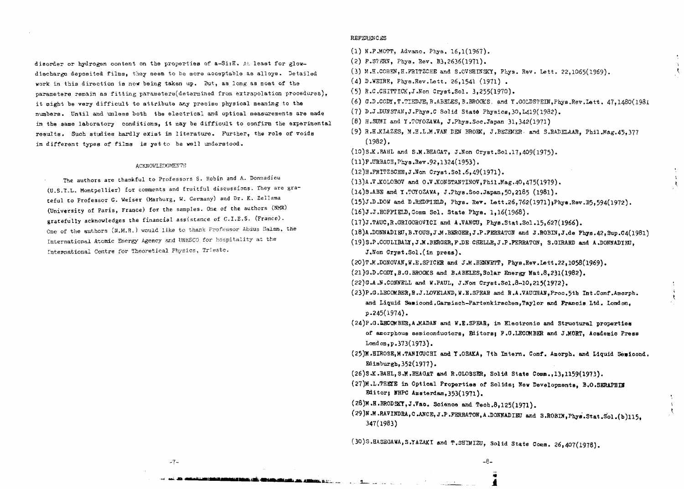disorder or hydrogen content on the properties of a-Si:H, At least for glowdischarge deposited films, they seem to be more acceptable as alloys. Detailed work in this direction is now being taken up. But, as long as most of the parameters remain as fitting parameters (determined from extrapolation procedures). it might be very difficult to attribute any precise physical meaning to the numbers. Until and unless both the electrical and optical measurements are made in the same laboratory conditions, it may he difficult to confirm the experimental results. Such studies hardly exist in literature. Further, the role of voids in different types of films is yet to he well understood.

# ACKNOWLEDGMENTS

The authors are thankful to Professors S. Robin and A. Donnadieu (U.S.T.L. Montpellier) for comments and fruitful discussions. They are grateful to Professor G. Weiser (Marburg, W. Germany) and Dr. K. Zellama (University of Paris, France) for the samples. One of the authors <NMR) gracefully acknowledges the financial assistance of C.I.E.S. (Trance). One of the authors (M.M.R.) would like to thank Professor Abdus Salam, the International Atomic Energy Agency and UNESCO for hospitality at the International Centre for Theoretical Physics, Trieste.

**-7-**

والخارج والمنازل الأثر والتواريخ والتواصيل والمراجع

## REFERENCES

- (1) N.F.MOTT, Advanc. Phye. 16,1(1967).
- (2) F.STaflf, Phys. Hev, B3,2636(1971).
- (3) M.H.COHEN,H.FRITZCHE and S.OVSHDTSKY, Phys. Rev. Lett. 22,1065(1969).
- (4) D.WEIHE, Phya.Rev.Lett. 26,1541 (1971) .
- (5) B.C.CHITTICK, J.Non Oryst.Sol. 3,255(1970).
- (6) G .D.COW, T.TIED JE,B.ABELES,B.BROCKS, and T .GOLDSTEIN,Phys.Rev.Lett. 47,1480(1931
- (7) D.J.DUBSTAN.J.Phys.C Solid State Physics,30,L419{ 1932) .
- (8) H.SUMI and Y.TOYOZAVA, J.Fhys.Soc.Japan 31,342(1971)
- (9) H.HJCLASES, M.H.L.W.VAK DEN BROEK, J.BEZEMER. and S.RAtiELAAB, Phil .Wag.45,377 (1982).
- (lO)S.K.BAHL and S.M.BHAGAT, J.Non Cryst.Sol .17,409(1975).
- (ll)P.USBACH,Phy3.aev.92,1324(1953).
- (l2)H.FRITZSCHR,JJIon Cryst .Sol .6,49(1971).
- $(13)$ A.V.KOLOBOV and  $0.$ V.KONSTANTINOV, Phil .Mag.40,475(1979).
- (14)3.ABE and Y .TOYOZAVA, J.Phys.Soo.Japan,50,2185 (l98l).
- (15)J.U.K)W and B.RSDPIELD, Phys. Hev. Lett.26,762( 1971)>Phys.Rev.B5,594(1972) .
- {16)J.J.HOPHELI>, Comm Sol. State Phya. 1,16(1968).
- (17)J.TAUC,R.GBIOOHOVICI and A.VANCTJ, Phye.Stat.Sol. 15,627(1966).
- (l8)A.DDinjADIHI,B.TO0S,JJt.BS3JOEB,J.P.?EREA.TOlI and J.BOBDT,J.da Phys.42,Sup.C4(l98l)
- (19)S.P.CODLIBALT,J.M.BERGEH,FJIE CHELLE,J.P.PERHATOF, S.aiRARB and A.D0NNAJIEO,
	- J.Non Cryst.Sol.(in press),
- $(20)$ T.M.DONOVAN.W.E.SPICER and J.M.BENNETT, Phys.Rev.Lett.22,1058(1969).
- $(21)$ G.D.CODY, B.G. BROOKS and B.ABELES, Solar Energy Mat.8.231(1982).
- (22) G.A.N.CONNELL and W.PAUL, J.Non Cryst.Sol.8-10,215(1972).
- (23)P.G.LECOMBER, B.J.LOVELAND, W.B.SPEAR and R.A.VAUCHAN. Proc.5th Int.Conf.Amorph. and Liquid Samicond.Garmisch-Partenkirschen,Taylor and Francis Ltd. London. p.245(1974).
- (24)P.O.LBCCWBEH,AJIADAH and W.E.SPEAH, in Electronic and Structural properties of amorphous semiconductors, Editors; P.Q.LECOOER and J.HOET, Academic Frese London,p. 373(1973).
- (25)K.HIHOSE)M.TABIGOCHI and T.OSAKA, 7th Intern. Oonf. Anorph. and Liquid Stnpieond. Edinburgh,352(l977).
- (26)S.K.BAHL, S.M. BHAGAT and R.GLOSSER, Solid State Comm., 13,1159(1973).
- (27}M.L.THETE in Optical Properties of Solids; Hev Developments, B.O.SERAPHIS Editor; NHPC Amsterdam, 353(1971).
- (28)M.H.BRODSKY, J.Vac. Science and Tech.8,125(1971).
- (29)N.M.RAVINDRA, C.ANCE, J.P. FERRATON, A. DONNADIEU and S.ROBIN, Phys. Stat. Sol. (b)115. 347(1983)

*m A*

 $-A-$ 

(30)S. HASEGAWA, S.YAZAKI and T.SHIMIZU, Solid State Comm. 26,407(1978).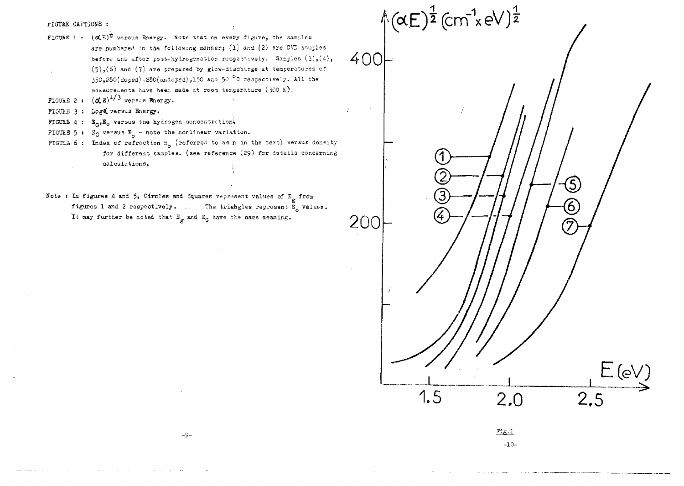FIGURE CAPTIONS :

- FIGURE 1 :  $(\alpha \text{E})^2$  versus Energy. Note that on every figure, the samples are numbered in the following manner; (1) and (2) are CVD samples before and after post-hydrogenation respectively. Samples  $(3),(4)$ ,  $(5)$ ,(6) and (7) are prepared by glow-discharge at temperatures of 350,280(doped),280(undoped),150 and 50  $^{\circ}$ C respectively. All the measurements have been made at room temperature (300 K).
- FIGURE 2:  $(d, \vec{s})^{1/3}$  versus Energy.
- FIGUKBi **3 :** LogK. versus Energy.
- FIGUB.E **4** *••* E\_,B0 versus tha hydrogen concentritioni.
- $PIGURE 5: E_G$  versus  $E_G -$  note the nonlinear variation.
- FIGULE 6 : Index of refraction n<sub>o</sub> (referred to as n in the text) versus density for different samples. (see reference (29) for details concerning calculations.
- Note : In figures 4 and 5, Circles and Squares represent values of  $E_g$  from figures 1 and 2 respectively.  $\Box$  The triahgles represent  $\bar{E}$  values. It may further be noted that  $\mathbb{E}_{\sigma}$  and  $\mathbb{E}_{\alpha}$  have the same meaning.

 $-9-$ 

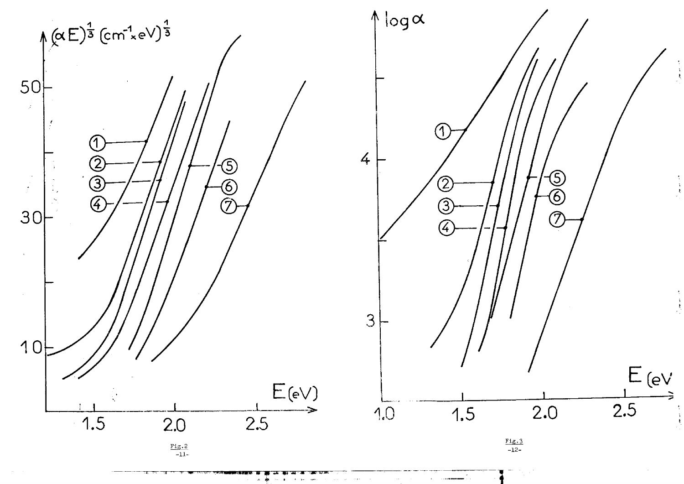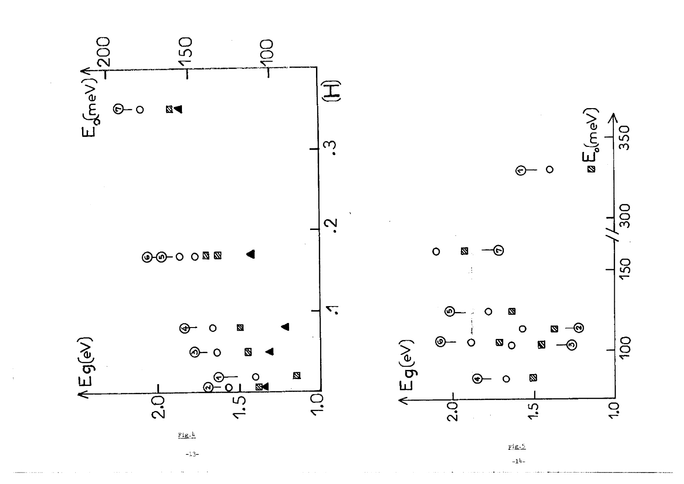